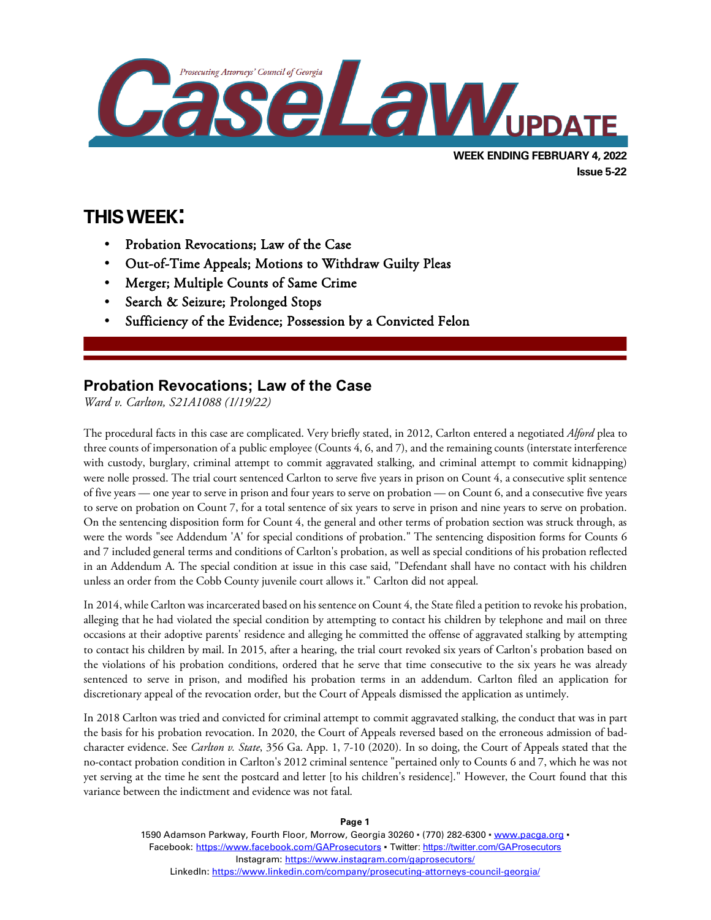

# **THIS WEEK:**

l

- Probation Revocations; Law of the Case
- Out-of-Time Appeals; Motions to Withdraw Guilty Pleas
- Merger; Multiple Counts of Same Crime
- Search & Seizure; Prolonged Stops
- Sufficiency of the Evidence; Possession by a Convicted Felon

## **Probation Revocations; Law of the Case**

*Ward v. Carlton, S21A1088 (1/19/22)*

The procedural facts in this case are complicated. Very briefly stated, in 2012, Carlton entered a negotiated *Alford* plea to three counts of impersonation of a public employee (Counts 4, 6, and 7), and the remaining counts (interstate interference with custody, burglary, criminal attempt to commit aggravated stalking, and criminal attempt to commit kidnapping) were nolle prossed. The trial court sentenced Carlton to serve five years in prison on Count 4, a consecutive split sentence of five years — one year to serve in prison and four years to serve on probation — on Count 6, and a consecutive five years to serve on probation on Count 7, for a total sentence of six years to serve in prison and nine years to serve on probation. On the sentencing disposition form for Count 4, the general and other terms of probation section was struck through, as were the words "see Addendum 'A' for special conditions of probation." The sentencing disposition forms for Counts 6 and 7 included general terms and conditions of Carlton's probation, as well as special conditions of his probation reflected in an Addendum A. The special condition at issue in this case said, "Defendant shall have no contact with his children unless an order from the Cobb County juvenile court allows it." Carlton did not appeal.

In 2014, while Carlton was incarcerated based on his sentence on Count 4, the State filed a petition to revoke his probation, alleging that he had violated the special condition by attempting to contact his children by telephone and mail on three occasions at their adoptive parents' residence and alleging he committed the offense of aggravated stalking by attempting to contact his children by mail. In 2015, after a hearing, the trial court revoked six years of Carlton's probation based on the violations of his probation conditions, ordered that he serve that time consecutive to the six years he was already sentenced to serve in prison, and modified his probation terms in an addendum. Carlton filed an application for discretionary appeal of the revocation order, but the Court of Appeals dismissed the application as untimely.

In 2018 Carlton was tried and convicted for criminal attempt to commit aggravated stalking, the conduct that was in part the basis for his probation revocation. In 2020, the Court of Appeals reversed based on the erroneous admission of badcharacter evidence. See *Carlton v. State*, 356 Ga. App. 1, 7-10 (2020). In so doing, the Court of Appeals stated that the no-contact probation condition in Carlton's 2012 criminal sentence "pertained only to Counts 6 and 7, which he was not yet serving at the time he sent the postcard and letter [to his children's residence]." However, the Court found that this variance between the indictment and evidence was not fatal.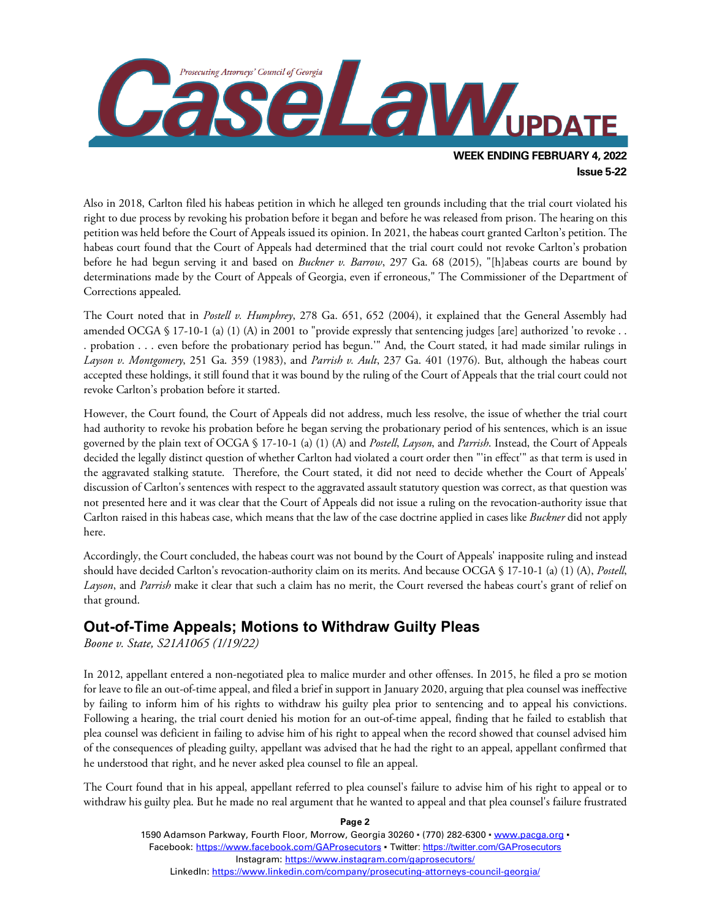

Also in 2018, Carlton filed his habeas petition in which he alleged ten grounds including that the trial court violated his right to due process by revoking his probation before it began and before he was released from prison. The hearing on this petition was held before the Court of Appeals issued its opinion. In 2021, the habeas court granted Carlton's petition. The habeas court found that the Court of Appeals had determined that the trial court could not revoke Carlton's probation before he had begun serving it and based on *Buckner v. Barrow*, 297 Ga. 68 (2015), "[h]abeas courts are bound by determinations made by the Court of Appeals of Georgia, even if erroneous," The Commissioner of the Department of Corrections appealed.

The Court noted that in *Postell v. Humphrey*, 278 Ga. 651, 652 (2004), it explained that the General Assembly had amended OCGA § 17-10-1 (a) (1) (A) in 2001 to "provide expressly that sentencing judges [are] authorized 'to revoke . . . probation . . . even before the probationary period has begun.'" And, the Court stated, it had made similar rulings in *Layson v. Montgomery*, 251 Ga. 359 (1983), and *Parrish v. Ault*, 237 Ga. 401 (1976). But, although the habeas court accepted these holdings, it still found that it was bound by the ruling of the Court of Appeals that the trial court could not revoke Carlton's probation before it started.

However, the Court found, the Court of Appeals did not address, much less resolve, the issue of whether the trial court had authority to revoke his probation before he began serving the probationary period of his sentences, which is an issue governed by the plain text of OCGA § 17-10-1 (a) (1) (A) and *Postell*, *Layson*, and *Parrish*. Instead, the Court of Appeals decided the legally distinct question of whether Carlton had violated a court order then "'in effect'" as that term is used in the aggravated stalking statute. Therefore, the Court stated, it did not need to decide whether the Court of Appeals' discussion of Carlton's sentences with respect to the aggravated assault statutory question was correct, as that question was not presented here and it was clear that the Court of Appeals did not issue a ruling on the revocation-authority issue that Carlton raised in this habeas case, which means that the law of the case doctrine applied in cases like *Buckner* did not apply here.

Accordingly, the Court concluded, the habeas court was not bound by the Court of Appeals' inapposite ruling and instead should have decided Carlton's revocation-authority claim on its merits. And because OCGA § 17-10-1 (a) (1) (A), *Postell*, *Layson*, and *Parrish* make it clear that such a claim has no merit, the Court reversed the habeas court's grant of relief on that ground.

#### **Out-of-Time Appeals; Motions to Withdraw Guilty Pleas**

*Boone v. State, S21A1065 (1/19/22)*

In 2012, appellant entered a non-negotiated plea to malice murder and other offenses. In 2015, he filed a pro se motion for leave to file an out-of-time appeal, and filed a brief in support in January 2020, arguing that plea counsel was ineffective by failing to inform him of his rights to withdraw his guilty plea prior to sentencing and to appeal his convictions. Following a hearing, the trial court denied his motion for an out-of-time appeal, finding that he failed to establish that plea counsel was deficient in failing to advise him of his right to appeal when the record showed that counsel advised him of the consequences of pleading guilty, appellant was advised that he had the right to an appeal, appellant confirmed that he understood that right, and he never asked plea counsel to file an appeal.

The Court found that in his appeal, appellant referred to plea counsel's failure to advise him of his right to appeal or to withdraw his guilty plea. But he made no real argument that he wanted to appeal and that plea counsel's failure frustrated

> **Page 2** 1590 Adamson Parkway, Fourth Floor, Morrow, Georgia 30260 · (770) 282-6300 · [www.pacga.org](http://www.pacga.org/) · Facebook:<https://www.facebook.com/GAProsecutors> . Twitter[: https://twitter.com/GAProsecutors](https://twitter.com/GAProsecutors) Instagram[: https://www.instagram.com/gaprosecutors/](https://www.instagram.com/gaprosecutors/) LinkedIn:<https://www.linkedin.com/company/prosecuting-attorneys-council-georgia/>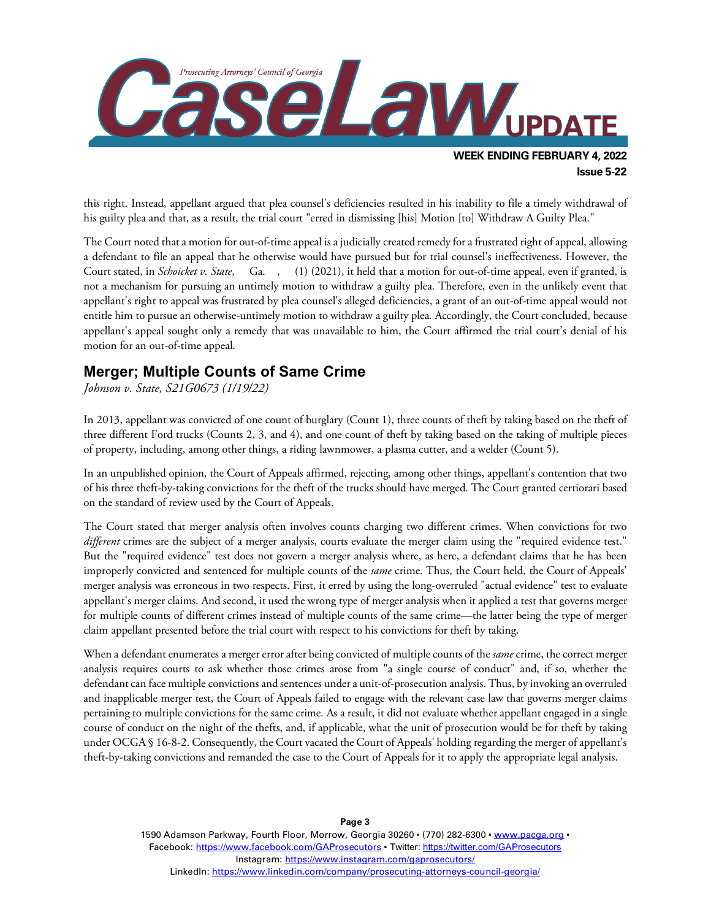

this right. Instead, appellant argued that plea counsel's deficiencies resulted in his inability to file a timely withdrawal of his guilty plea and that, as a result, the trial court "erred in dismissing [his] Motion [to] Withdraw A Guilty Plea."

The Court noted that a motion for out-of-time appeal is a judicially created remedy for a frustrated right of appeal, allowing a defendant to file an appeal that he otherwise would have pursued but for trial counsel's ineffectiveness. However, the Court stated, in *Schoicket v. State*, Ga. , (1) (2021), it held that a motion for out-of-time appeal, even if granted, is not a mechanism for pursuing an untimely motion to withdraw a guilty plea. Therefore, even in the unlikely event that appellant's right to appeal was frustrated by plea counsel's alleged deficiencies, a grant of an out-of-time appeal would not entitle him to pursue an otherwise-untimely motion to withdraw a guilty plea. Accordingly, the Court concluded, because appellant's appeal sought only a remedy that was unavailable to him, the Court affirmed the trial court's denial of his motion for an out-of-time appeal.

#### **Merger; Multiple Counts of Same Crime**

*Johnson v. State, S21G0673 (1/19/22)*

In 2013, appellant was convicted of one count of burglary (Count 1), three counts of theft by taking based on the theft of three different Ford trucks (Counts 2, 3, and 4), and one count of theft by taking based on the taking of multiple pieces of property, including, among other things, a riding lawnmower, a plasma cutter, and a welder (Count 5).

In an unpublished opinion, the Court of Appeals affirmed, rejecting, among other things, appellant's contention that two of his three theft-by-taking convictions for the theft of the trucks should have merged. The Court granted certiorari based on the standard of review used by the Court of Appeals.

The Court stated that merger analysis often involves counts charging two different crimes. When convictions for two *different* crimes are the subject of a merger analysis, courts evaluate the merger claim using the "required evidence test." But the "required evidence" test does not govern a merger analysis where, as here, a defendant claims that he has been improperly convicted and sentenced for multiple counts of the *same* crime. Thus, the Court held, the Court of Appeals' merger analysis was erroneous in two respects. First, it erred by using the long-overruled "actual evidence" test to evaluate appellant's merger claims. And second, it used the wrong type of merger analysis when it applied a test that governs merger for multiple counts of different crimes instead of multiple counts of the same crime—the latter being the type of merger claim appellant presented before the trial court with respect to his convictions for theft by taking.

When a defendant enumerates a merger error after being convicted of multiple counts of the *same* crime, the correct merger analysis requires courts to ask whether those crimes arose from "a single course of conduct" and, if so, whether the defendant can face multiple convictions and sentences under a unit-of-prosecution analysis. Thus, by invoking an overruled and inapplicable merger test, the Court of Appeals failed to engage with the relevant case law that governs merger claims pertaining to multiple convictions for the same crime. As a result, it did not evaluate whether appellant engaged in a single course of conduct on the night of the thefts, and, if applicable, what the unit of prosecution would be for theft by taking under OCGA § 16-8-2. Consequently, the Court vacated the Court of Appeals' holding regarding the merger of appellant's theft-by-taking convictions and remanded the case to the Court of Appeals for it to apply the appropriate legal analysis.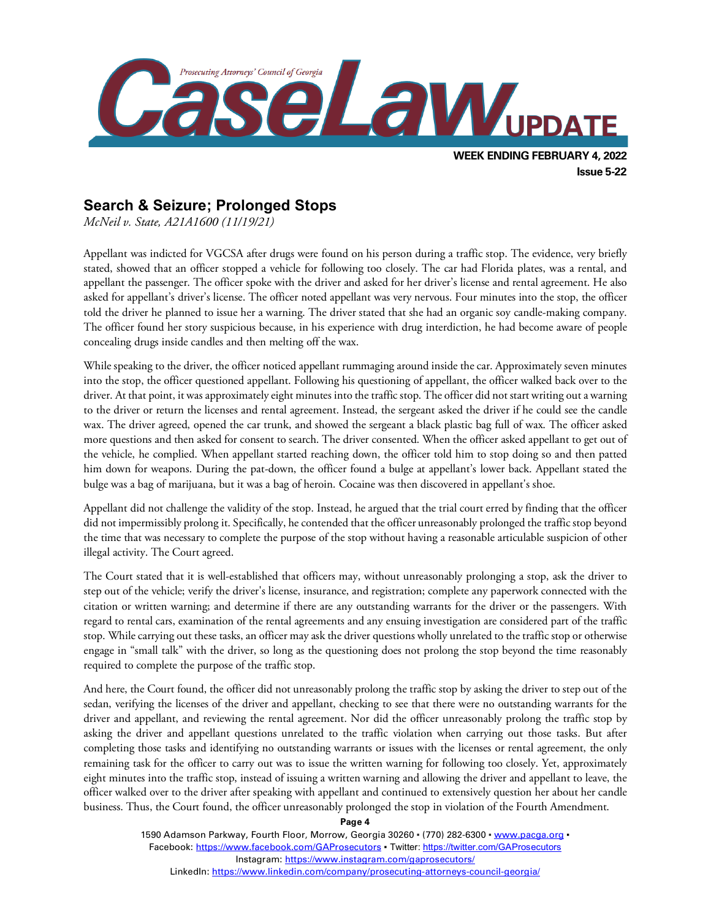

## **Search & Seizure; Prolonged Stops**

*McNeil v. State, A21A1600 (11/19/21)*

Appellant was indicted for VGCSA after drugs were found on his person during a traffic stop. The evidence, very briefly stated, showed that an officer stopped a vehicle for following too closely. The car had Florida plates, was a rental, and appellant the passenger. The officer spoke with the driver and asked for her driver's license and rental agreement. He also asked for appellant's driver's license. The officer noted appellant was very nervous. Four minutes into the stop, the officer told the driver he planned to issue her a warning. The driver stated that she had an organic soy candle-making company. The officer found her story suspicious because, in his experience with drug interdiction, he had become aware of people concealing drugs inside candles and then melting off the wax.

While speaking to the driver, the officer noticed appellant rummaging around inside the car. Approximately seven minutes into the stop, the officer questioned appellant. Following his questioning of appellant, the officer walked back over to the driver. At that point, it was approximately eight minutes into the traffic stop. The officer did not start writing out a warning to the driver or return the licenses and rental agreement. Instead, the sergeant asked the driver if he could see the candle wax. The driver agreed, opened the car trunk, and showed the sergeant a black plastic bag full of wax. The officer asked more questions and then asked for consent to search. The driver consented. When the officer asked appellant to get out of the vehicle, he complied. When appellant started reaching down, the officer told him to stop doing so and then patted him down for weapons. During the pat-down, the officer found a bulge at appellant's lower back. Appellant stated the bulge was a bag of marijuana, but it was a bag of heroin. Cocaine was then discovered in appellant's shoe.

Appellant did not challenge the validity of the stop. Instead, he argued that the trial court erred by finding that the officer did not impermissibly prolong it. Specifically, he contended that the officer unreasonably prolonged the traffic stop beyond the time that was necessary to complete the purpose of the stop without having a reasonable articulable suspicion of other illegal activity. The Court agreed.

The Court stated that it is well-established that officers may, without unreasonably prolonging a stop, ask the driver to step out of the vehicle; verify the driver's license, insurance, and registration; complete any paperwork connected with the citation or written warning; and determine if there are any outstanding warrants for the driver or the passengers. With regard to rental cars, examination of the rental agreements and any ensuing investigation are considered part of the traffic stop. While carrying out these tasks, an officer may ask the driver questions wholly unrelated to the traffic stop or otherwise engage in "small talk" with the driver, so long as the questioning does not prolong the stop beyond the time reasonably required to complete the purpose of the traffic stop.

And here, the Court found, the officer did not unreasonably prolong the traffic stop by asking the driver to step out of the sedan, verifying the licenses of the driver and appellant, checking to see that there were no outstanding warrants for the driver and appellant, and reviewing the rental agreement. Nor did the officer unreasonably prolong the traffic stop by asking the driver and appellant questions unrelated to the traffic violation when carrying out those tasks. But after completing those tasks and identifying no outstanding warrants or issues with the licenses or rental agreement, the only remaining task for the officer to carry out was to issue the written warning for following too closely. Yet, approximately eight minutes into the traffic stop, instead of issuing a written warning and allowing the driver and appellant to leave, the officer walked over to the driver after speaking with appellant and continued to extensively question her about her candle business. Thus, the Court found, the officer unreasonably prolonged the stop in violation of the Fourth Amendment.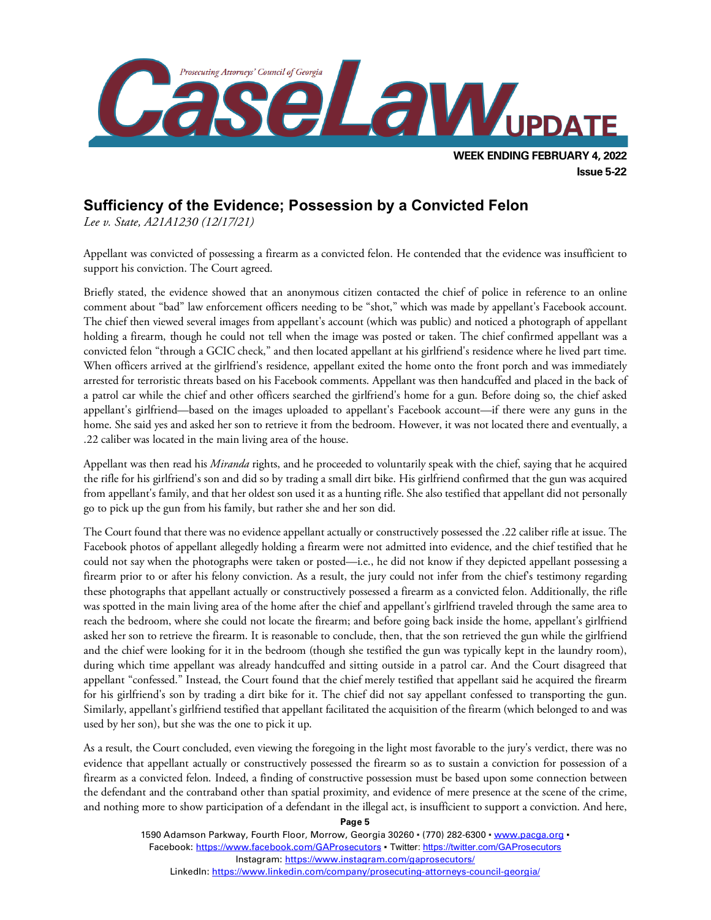

### **Sufficiency of the Evidence; Possession by a Convicted Felon**

*Lee v. State, A21A1230 (12/17/21)*

Appellant was convicted of possessing a firearm as a convicted felon. He contended that the evidence was insufficient to support his conviction. The Court agreed.

Briefly stated, the evidence showed that an anonymous citizen contacted the chief of police in reference to an online comment about "bad" law enforcement officers needing to be "shot," which was made by appellant's Facebook account. The chief then viewed several images from appellant's account (which was public) and noticed a photograph of appellant holding a firearm, though he could not tell when the image was posted or taken. The chief confirmed appellant was a convicted felon "through a GCIC check," and then located appellant at his girlfriend's residence where he lived part time. When officers arrived at the girlfriend's residence, appellant exited the home onto the front porch and was immediately arrested for terroristic threats based on his Facebook comments. Appellant was then handcuffed and placed in the back of a patrol car while the chief and other officers searched the girlfriend's home for a gun. Before doing so, the chief asked appellant's girlfriend—based on the images uploaded to appellant's Facebook account—if there were any guns in the home. She said yes and asked her son to retrieve it from the bedroom. However, it was not located there and eventually, a .22 caliber was located in the main living area of the house.

Appellant was then read his *Miranda* rights, and he proceeded to voluntarily speak with the chief, saying that he acquired the rifle for his girlfriend's son and did so by trading a small dirt bike. His girlfriend confirmed that the gun was acquired from appellant's family, and that her oldest son used it as a hunting rifle. She also testified that appellant did not personally go to pick up the gun from his family, but rather she and her son did.

The Court found that there was no evidence appellant actually or constructively possessed the .22 caliber rifle at issue. The Facebook photos of appellant allegedly holding a firearm were not admitted into evidence, and the chief testified that he could not say when the photographs were taken or posted—i.e., he did not know if they depicted appellant possessing a firearm prior to or after his felony conviction. As a result, the jury could not infer from the chief's testimony regarding these photographs that appellant actually or constructively possessed a firearm as a convicted felon. Additionally, the rifle was spotted in the main living area of the home after the chief and appellant's girlfriend traveled through the same area to reach the bedroom, where she could not locate the firearm; and before going back inside the home, appellant's girlfriend asked her son to retrieve the firearm. It is reasonable to conclude, then, that the son retrieved the gun while the girlfriend and the chief were looking for it in the bedroom (though she testified the gun was typically kept in the laundry room), during which time appellant was already handcuffed and sitting outside in a patrol car. And the Court disagreed that appellant "confessed." Instead, the Court found that the chief merely testified that appellant said he acquired the firearm for his girlfriend's son by trading a dirt bike for it. The chief did not say appellant confessed to transporting the gun. Similarly, appellant's girlfriend testified that appellant facilitated the acquisition of the firearm (which belonged to and was used by her son), but she was the one to pick it up.

As a result, the Court concluded, even viewing the foregoing in the light most favorable to the jury's verdict, there was no evidence that appellant actually or constructively possessed the firearm so as to sustain a conviction for possession of a firearm as a convicted felon. Indeed, a finding of constructive possession must be based upon some connection between the defendant and the contraband other than spatial proximity, and evidence of mere presence at the scene of the crime, and nothing more to show participation of a defendant in the illegal act, is insufficient to support a conviction. And here,